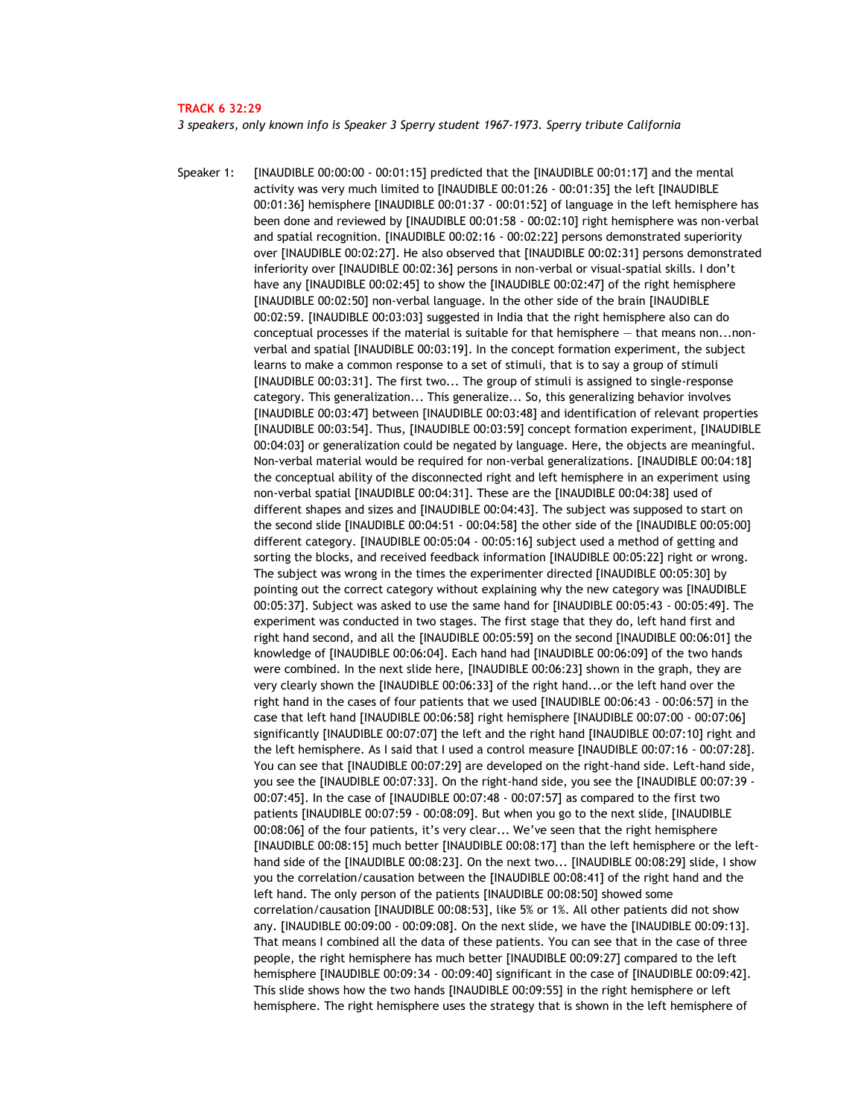#### **TRACK 6 32:29**

*3 speakers, only known info is Speaker 3 Sperry student 1967-1973. Sperry tribute California* 

Speaker 1: [INAUDIBLE 00:00:00 - 00:01:15] predicted that the [INAUDIBLE 00:01:17] and the mental activity was very much limited to [INAUDIBLE 00:01:26 - 00:01:35] the left [INAUDIBLE 00:01:36] hemisphere [INAUDIBLE 00:01:37 - 00:01:52] of language in the left hemisphere has been done and reviewed by [INAUDIBLE 00:01:58 - 00:02:10] right hemisphere was non-verbal and spatial recognition. [INAUDIBLE 00:02:16 - 00:02:22] persons demonstrated superiority over [INAUDIBLE 00:02:27]. He also observed that [INAUDIBLE 00:02:31] persons demonstrated inferiority over [INAUDIBLE 00:02:36] persons in non-verbal or visual-spatial skills. I don't have any [INAUDIBLE 00:02:45] to show the [INAUDIBLE 00:02:47] of the right hemisphere [INAUDIBLE 00:02:50] non-verbal language. In the other side of the brain [INAUDIBLE 00:02:59. [INAUDIBLE 00:03:03] suggested in India that the right hemisphere also can do conceptual processes if the material is suitable for that hemisphere — that means non...nonverbal and spatial [INAUDIBLE 00:03:19]. In the concept formation experiment, the subject learns to make a common response to a set of stimuli, that is to say a group of stimuli [INAUDIBLE 00:03:31]. The first two... The group of stimuli is assigned to single-response category. This generalization... This generalize... So, this generalizing behavior involves [INAUDIBLE 00:03:47] between [INAUDIBLE 00:03:48] and identification of relevant properties [INAUDIBLE 00:03:54]. Thus, [INAUDIBLE 00:03:59] concept formation experiment, [INAUDIBLE 00:04:03] or generalization could be negated by language. Here, the objects are meaningful. Non-verbal material would be required for non-verbal generalizations. [INAUDIBLE 00:04:18] the conceptual ability of the disconnected right and left hemisphere in an experiment using non-verbal spatial [INAUDIBLE 00:04:31]. These are the [INAUDIBLE 00:04:38] used of different shapes and sizes and [INAUDIBLE 00:04:43]. The subject was supposed to start on the second slide [INAUDIBLE 00:04:51 - 00:04:58] the other side of the [INAUDIBLE 00:05:00] different category. [INAUDIBLE 00:05:04 - 00:05:16] subject used a method of getting and sorting the blocks, and received feedback information [INAUDIBLE 00:05:22] right or wrong. The subject was wrong in the times the experimenter directed [INAUDIBLE 00:05:30] by pointing out the correct category without explaining why the new category was [INAUDIBLE 00:05:37]. Subject was asked to use the same hand for [INAUDIBLE 00:05:43 - 00:05:49]. The experiment was conducted in two stages. The first stage that they do, left hand first and right hand second, and all the [INAUDIBLE 00:05:59] on the second [INAUDIBLE 00:06:01] the knowledge of [INAUDIBLE 00:06:04]. Each hand had [INAUDIBLE 00:06:09] of the two hands were combined. In the next slide here, [INAUDIBLE 00:06:23] shown in the graph, they are very clearly shown the [INAUDIBLE 00:06:33] of the right hand...or the left hand over the right hand in the cases of four patients that we used [INAUDIBLE 00:06:43 - 00:06:57] in the case that left hand [INAUDIBLE 00:06:58] right hemisphere [INAUDIBLE 00:07:00 - 00:07:06] significantly [INAUDIBLE 00:07:07] the left and the right hand [INAUDIBLE 00:07:10] right and the left hemisphere. As I said that I used a control measure [INAUDIBLE 00:07:16 - 00:07:28]. You can see that [INAUDIBLE 00:07:29] are developed on the right-hand side. Left-hand side, you see the [INAUDIBLE 00:07:33]. On the right-hand side, you see the [INAUDIBLE 00:07:39 - 00:07:45]. In the case of [INAUDIBLE 00:07:48 - 00:07:57] as compared to the first two patients [INAUDIBLE 00:07:59 - 00:08:09]. But when you go to the next slide, [INAUDIBLE 00:08:06] of the four patients, it's very clear... We've seen that the right hemisphere [INAUDIBLE 00:08:15] much better [INAUDIBLE 00:08:17] than the left hemisphere or the lefthand side of the [INAUDIBLE 00:08:23]. On the next two... [INAUDIBLE 00:08:29] slide, I show you the correlation/causation between the [INAUDIBLE 00:08:41] of the right hand and the left hand. The only person of the patients [INAUDIBLE 00:08:50] showed some correlation/causation [INAUDIBLE 00:08:53], like 5% or 1%. All other patients did not show any. [INAUDIBLE 00:09:00 - 00:09:08]. On the next slide, we have the [INAUDIBLE 00:09:13]. That means I combined all the data of these patients. You can see that in the case of three people, the right hemisphere has much better [INAUDIBLE 00:09:27] compared to the left hemisphere [INAUDIBLE 00:09:34 - 00:09:40] significant in the case of [INAUDIBLE 00:09:42]. This slide shows how the two hands [INAUDIBLE 00:09:55] in the right hemisphere or left hemisphere. The right hemisphere uses the strategy that is shown in the left hemisphere of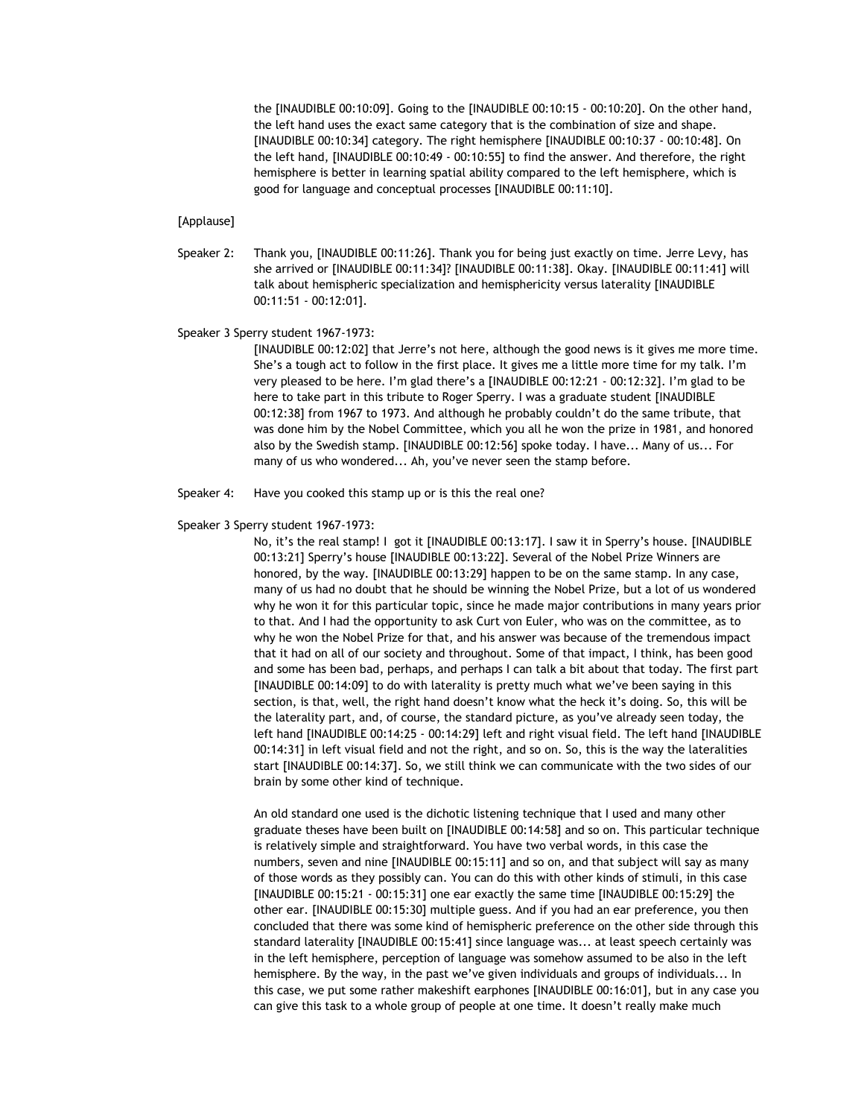the [INAUDIBLE 00:10:09]. Going to the [INAUDIBLE 00:10:15 - 00:10:20]. On the other hand, the left hand uses the exact same category that is the combination of size and shape. [INAUDIBLE 00:10:34] category. The right hemisphere [INAUDIBLE 00:10:37 - 00:10:48]. On the left hand, [INAUDIBLE 00:10:49 - 00:10:55] to find the answer. And therefore, the right hemisphere is better in learning spatial ability compared to the left hemisphere, which is good for language and conceptual processes [INAUDIBLE 00:11:10].

## [Applause]

Speaker 2: Thank you, [INAUDIBLE 00:11:26]. Thank you for being just exactly on time. Jerre Levy, has she arrived or [INAUDIBLE 00:11:34]? [INAUDIBLE 00:11:38]. Okay. [INAUDIBLE 00:11:41] will talk about hemispheric specialization and hemisphericity versus laterality [INAUDIBLE 00:11:51 - 00:12:01].

### Speaker 3 Sperry student 1967-1973:

[INAUDIBLE 00:12:02] that Jerre's not here, although the good news is it gives me more time. She's a tough act to follow in the first place. It gives me a little more time for my talk. I'm very pleased to be here. I'm glad there's a [INAUDIBLE 00:12:21 - 00:12:32]. I'm glad to be here to take part in this tribute to Roger Sperry. I was a graduate student [INAUDIBLE 00:12:38] from 1967 to 1973. And although he probably couldn't do the same tribute, that was done him by the Nobel Committee, which you all he won the prize in 1981, and honored also by the Swedish stamp. [INAUDIBLE 00:12:56] spoke today. I have... Many of us... For many of us who wondered... Ah, you've never seen the stamp before.

Speaker 4: Have you cooked this stamp up or is this the real one?

#### Speaker 3 Sperry student 1967-1973:

No, it's the real stamp! I got it [INAUDIBLE 00:13:17]. I saw it in Sperry's house. [INAUDIBLE 00:13:21] Sperry's house [INAUDIBLE 00:13:22]. Several of the Nobel Prize Winners are honored, by the way. [INAUDIBLE 00:13:29] happen to be on the same stamp. In any case, many of us had no doubt that he should be winning the Nobel Prize, but a lot of us wondered why he won it for this particular topic, since he made major contributions in many years prior to that. And I had the opportunity to ask Curt von Euler, who was on the committee, as to why he won the Nobel Prize for that, and his answer was because of the tremendous impact that it had on all of our society and throughout. Some of that impact, I think, has been good and some has been bad, perhaps, and perhaps I can talk a bit about that today. The first part [INAUDIBLE 00:14:09] to do with laterality is pretty much what we've been saying in this section, is that, well, the right hand doesn't know what the heck it's doing. So, this will be the laterality part, and, of course, the standard picture, as you've already seen today, the left hand [INAUDIBLE 00:14:25 - 00:14:29] left and right visual field. The left hand [INAUDIBLE 00:14:31] in left visual field and not the right, and so on. So, this is the way the lateralities start [INAUDIBLE 00:14:37]. So, we still think we can communicate with the two sides of our brain by some other kind of technique.

An old standard one used is the dichotic listening technique that I used and many other graduate theses have been built on [INAUDIBLE 00:14:58] and so on. This particular technique is relatively simple and straightforward. You have two verbal words, in this case the numbers, seven and nine [INAUDIBLE 00:15:11] and so on, and that subject will say as many of those words as they possibly can. You can do this with other kinds of stimuli, in this case [INAUDIBLE 00:15:21 - 00:15:31] one ear exactly the same time [INAUDIBLE 00:15:29] the other ear. [INAUDIBLE 00:15:30] multiple guess. And if you had an ear preference, you then concluded that there was some kind of hemispheric preference on the other side through this standard laterality [INAUDIBLE 00:15:41] since language was... at least speech certainly was in the left hemisphere, perception of language was somehow assumed to be also in the left hemisphere. By the way, in the past we've given individuals and groups of individuals... In this case, we put some rather makeshift earphones [INAUDIBLE 00:16:01], but in any case you can give this task to a whole group of people at one time. It doesn't really make much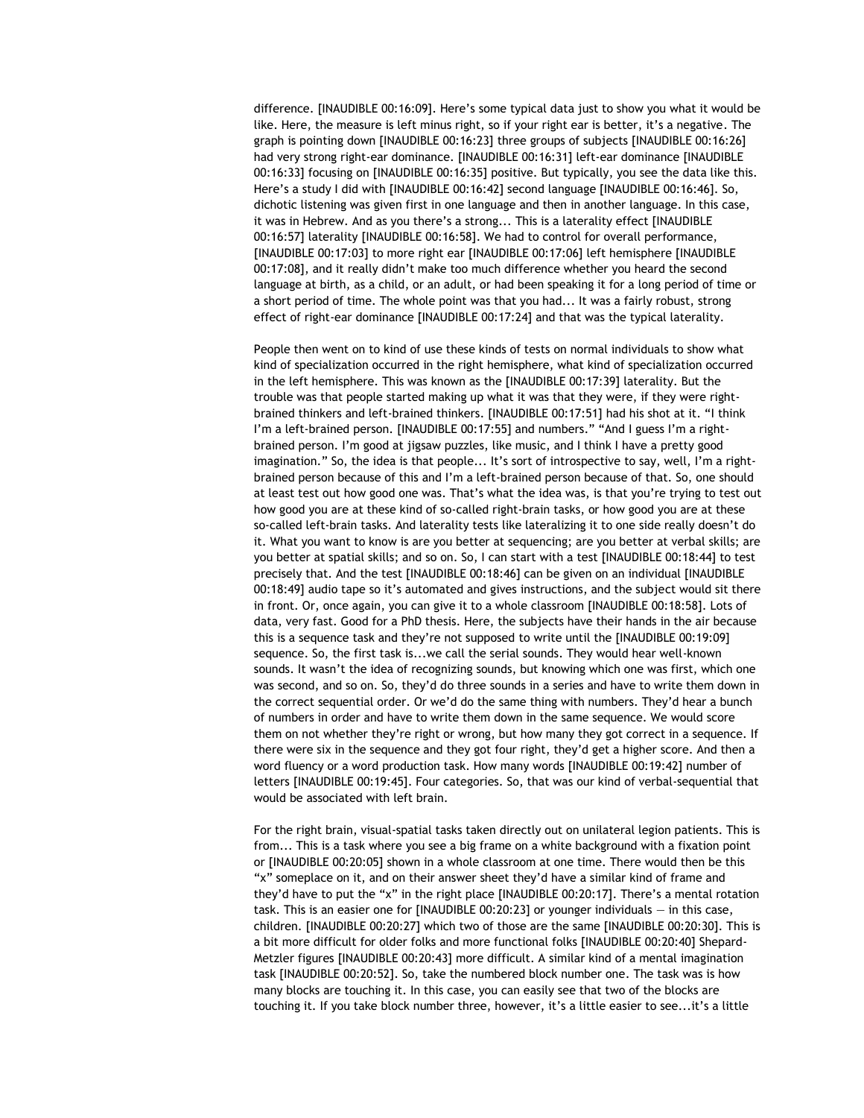difference. [INAUDIBLE 00:16:09]. Here's some typical data just to show you what it would be like. Here, the measure is left minus right, so if your right ear is better, it's a negative. The graph is pointing down [INAUDIBLE 00:16:23] three groups of subjects [INAUDIBLE 00:16:26] had very strong right-ear dominance. [INAUDIBLE 00:16:31] left-ear dominance [INAUDIBLE 00:16:33] focusing on [INAUDIBLE 00:16:35] positive. But typically, you see the data like this. Here's a study I did with [INAUDIBLE 00:16:42] second language [INAUDIBLE 00:16:46]. So, dichotic listening was given first in one language and then in another language. In this case, it was in Hebrew. And as you there's a strong... This is a laterality effect [INAUDIBLE 00:16:57] laterality [INAUDIBLE 00:16:58]. We had to control for overall performance, [INAUDIBLE 00:17:03] to more right ear [INAUDIBLE 00:17:06] left hemisphere [INAUDIBLE 00:17:08], and it really didn't make too much difference whether you heard the second language at birth, as a child, or an adult, or had been speaking it for a long period of time or a short period of time. The whole point was that you had... It was a fairly robust, strong effect of right-ear dominance [INAUDIBLE 00:17:24] and that was the typical laterality.

People then went on to kind of use these kinds of tests on normal individuals to show what kind of specialization occurred in the right hemisphere, what kind of specialization occurred in the left hemisphere. This was known as the [INAUDIBLE 00:17:39] laterality. But the trouble was that people started making up what it was that they were, if they were rightbrained thinkers and left-brained thinkers. [INAUDIBLE 00:17:51] had his shot at it. "I think I'm a left-brained person. [INAUDIBLE 00:17:55] and numbers." "And I guess I'm a rightbrained person. I'm good at jigsaw puzzles, like music, and I think I have a pretty good imagination." So, the idea is that people... It's sort of introspective to say, well, I'm a rightbrained person because of this and I'm a left-brained person because of that. So, one should at least test out how good one was. That's what the idea was, is that you're trying to test out how good you are at these kind of so-called right-brain tasks, or how good you are at these so-called left-brain tasks. And laterality tests like lateralizing it to one side really doesn't do it. What you want to know is are you better at sequencing; are you better at verbal skills; are you better at spatial skills; and so on. So, I can start with a test [INAUDIBLE 00:18:44] to test precisely that. And the test [INAUDIBLE 00:18:46] can be given on an individual [INAUDIBLE 00:18:49] audio tape so it's automated and gives instructions, and the subject would sit there in front. Or, once again, you can give it to a whole classroom [INAUDIBLE 00:18:58]. Lots of data, very fast. Good for a PhD thesis. Here, the subjects have their hands in the air because this is a sequence task and they're not supposed to write until the [INAUDIBLE 00:19:09] sequence. So, the first task is...we call the serial sounds. They would hear well-known sounds. It wasn't the idea of recognizing sounds, but knowing which one was first, which one was second, and so on. So, they'd do three sounds in a series and have to write them down in the correct sequential order. Or we'd do the same thing with numbers. They'd hear a bunch of numbers in order and have to write them down in the same sequence. We would score them on not whether they're right or wrong, but how many they got correct in a sequence. If there were six in the sequence and they got four right, they'd get a higher score. And then a word fluency or a word production task. How many words [INAUDIBLE 00:19:42] number of letters [INAUDIBLE 00:19:45]. Four categories. So, that was our kind of verbal-sequential that would be associated with left brain.

For the right brain, visual-spatial tasks taken directly out on unilateral legion patients. This is from... This is a task where you see a big frame on a white background with a fixation point or [INAUDIBLE 00:20:05] shown in a whole classroom at one time. There would then be this "x" someplace on it, and on their answer sheet they'd have a similar kind of frame and they'd have to put the "x" in the right place [INAUDIBLE 00:20:17]. There's a mental rotation task. This is an easier one for [INAUDIBLE 00:20:23] or younger individuals — in this case, children. [INAUDIBLE 00:20:27] which two of those are the same [INAUDIBLE 00:20:30]. This is a bit more difficult for older folks and more functional folks [INAUDIBLE 00:20:40] Shepard-Metzler figures [INAUDIBLE 00:20:43] more difficult. A similar kind of a mental imagination task [INAUDIBLE 00:20:52]. So, take the numbered block number one. The task was is how many blocks are touching it. In this case, you can easily see that two of the blocks are touching it. If you take block number three, however, it's a little easier to see...it's a little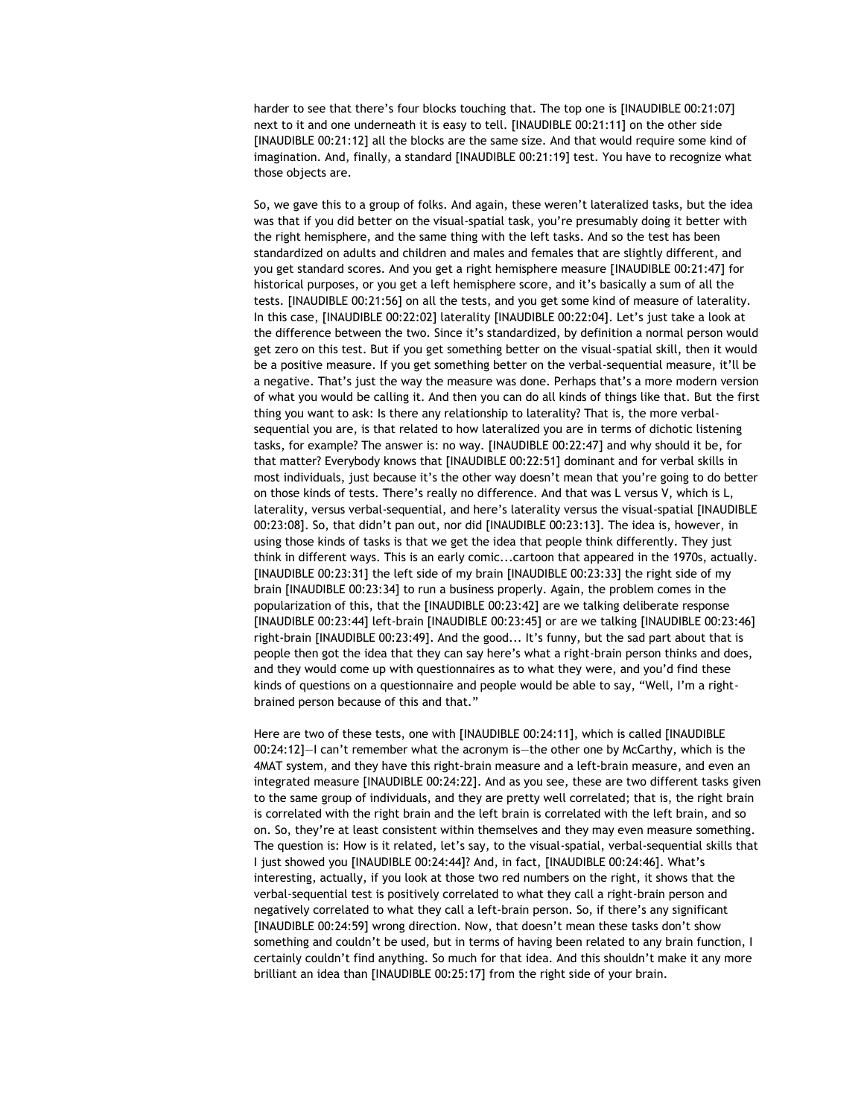harder to see that there's four blocks touching that. The top one is [INAUDIBLE 00:21:07] next to it and one underneath it is easy to tell. [INAUDIBLE 00:21:11] on the other side [INAUDIBLE 00:21:12] all the blocks are the same size. And that would require some kind of imagination. And, finally, a standard [INAUDIBLE 00:21:19] test. You have to recognize what those objects are.

So, we gave this to a group of folks. And again, these weren't lateralized tasks, but the idea was that if you did better on the visual-spatial task, you're presumably doing it better with the right hemisphere, and the same thing with the left tasks. And so the test has been standardized on adults and children and males and females that are slightly different, and you get standard scores. And you get a right hemisphere measure [INAUDIBLE 00:21:47] for historical purposes, or you get a left hemisphere score, and it's basically a sum of all the tests. [INAUDIBLE 00:21:56] on all the tests, and you get some kind of measure of laterality. In this case, [INAUDIBLE 00:22:02] laterality [INAUDIBLE 00:22:04]. Let's just take a look at the difference between the two. Since it's standardized, by definition a normal person would get zero on this test. But if you get something better on the visual-spatial skill, then it would be a positive measure. If you get something better on the verbal-sequential measure, it'll be a negative. That's just the way the measure was done. Perhaps that's a more modern version of what you would be calling it. And then you can do all kinds of things like that. But the first thing you want to ask: Is there any relationship to laterality? That is, the more verbalsequential you are, is that related to how lateralized you are in terms of dichotic listening tasks, for example? The answer is: no way. [INAUDIBLE 00:22:47] and why should it be, for that matter? Everybody knows that [INAUDIBLE 00:22:51] dominant and for verbal skills in most individuals, just because it's the other way doesn't mean that you're going to do better on those kinds of tests. There's really no difference. And that was L versus V, which is L, laterality, versus verbal-sequential, and here's laterality versus the visual-spatial [INAUDIBLE 00:23:08]. So, that didn't pan out, nor did [INAUDIBLE 00:23:13]. The idea is, however, in using those kinds of tasks is that we get the idea that people think differently. They just think in different ways. This is an early comic...cartoon that appeared in the 1970s, actually. [INAUDIBLE 00:23:31] the left side of my brain [INAUDIBLE 00:23:33] the right side of my brain [INAUDIBLE 00:23:34] to run a business properly. Again, the problem comes in the popularization of this, that the [INAUDIBLE 00:23:42] are we talking deliberate response [INAUDIBLE 00:23:44] left-brain [INAUDIBLE 00:23:45] or are we talking [INAUDIBLE 00:23:46] right-brain [INAUDIBLE 00:23:49]. And the good... It's funny, but the sad part about that is people then got the idea that they can say here's what a right-brain person thinks and does, and they would come up with questionnaires as to what they were, and you'd find these kinds of questions on a questionnaire and people would be able to say, "Well, I'm a rightbrained person because of this and that."

Here are two of these tests, one with [INAUDIBLE 00:24:11], which is called [INAUDIBLE 00:24:12]—I can't remember what the acronym is—the other one by McCarthy, which is the 4MAT system, and they have this right-brain measure and a left-brain measure, and even an integrated measure [INAUDIBLE 00:24:22]. And as you see, these are two different tasks given to the same group of individuals, and they are pretty well correlated; that is, the right brain is correlated with the right brain and the left brain is correlated with the left brain, and so on. So, they're at least consistent within themselves and they may even measure something. The question is: How is it related, let's say, to the visual-spatial, verbal-sequential skills that I just showed you [INAUDIBLE 00:24:44]? And, in fact, [INAUDIBLE 00:24:46]. What's interesting, actually, if you look at those two red numbers on the right, it shows that the verbal-sequential test is positively correlated to what they call a right-brain person and negatively correlated to what they call a left-brain person. So, if there's any significant [INAUDIBLE 00:24:59] wrong direction. Now, that doesn't mean these tasks don't show something and couldn't be used, but in terms of having been related to any brain function, I certainly couldn't find anything. So much for that idea. And this shouldn't make it any more brilliant an idea than [INAUDIBLE 00:25:17] from the right side of your brain.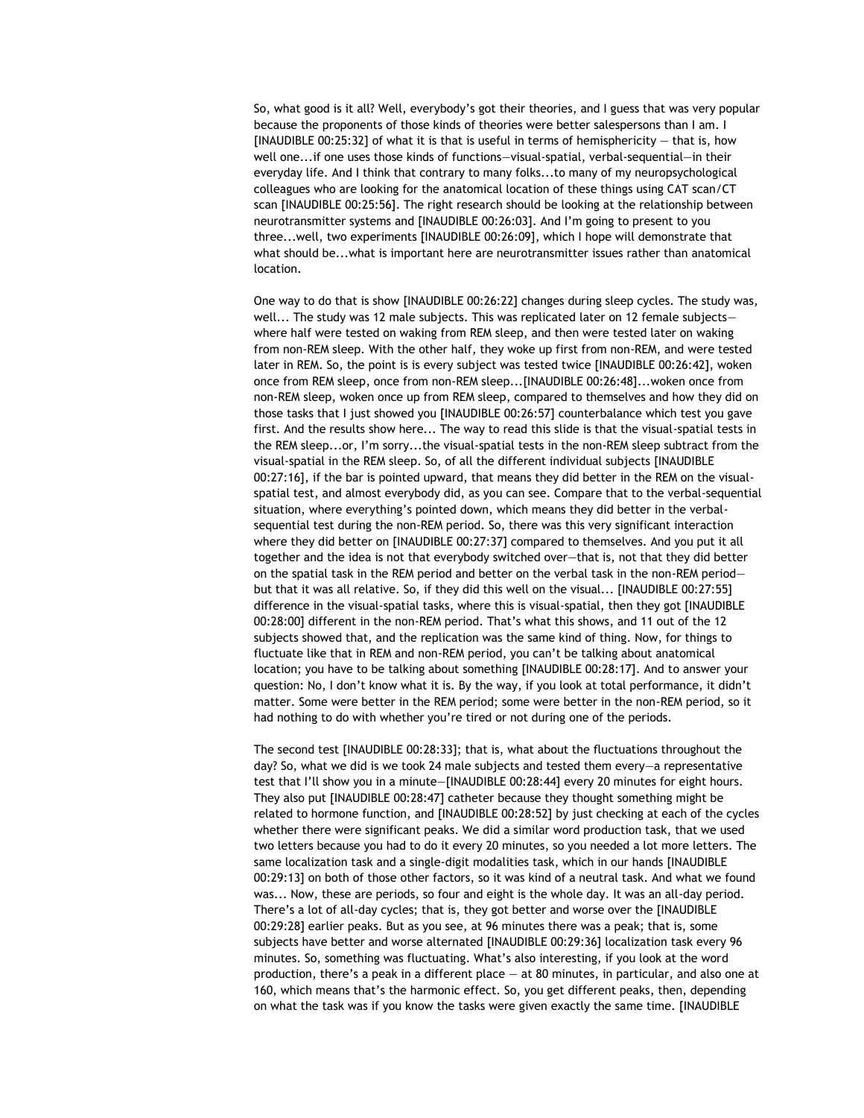So, what good is it all? Well, everybody's got their theories, and I guess that was very popular because the proponents of those kinds of theories were better salespersons than I am. I [INAUDIBLE 00:25:32] of what it is that is useful in terms of hemisphericity — that is, how well one...if one uses those kinds of functions—visual-spatial, verbal-sequential—in their everyday life. And I think that contrary to many folks...to many of my neuropsychological colleagues who are looking for the anatomical location of these things using CAT scan/CT scan [INAUDIBLE 00:25:56]. The right research should be looking at the relationship between neurotransmitter systems and [INAUDIBLE 00:26:03]. And I'm going to present to you three...well, two experiments [INAUDIBLE 00:26:09], which I hope will demonstrate that what should be...what is important here are neurotransmitter issues rather than anatomical location.

One way to do that is show [INAUDIBLE 00:26:22] changes during sleep cycles. The study was, well... The study was 12 male subjects. This was replicated later on 12 female subjectswhere half were tested on waking from REM sleep, and then were tested later on waking from non-REM sleep. With the other half, they woke up first from non-REM, and were tested later in REM. So, the point is is every subject was tested twice [INAUDIBLE 00:26:42], woken once from REM sleep, once from non-REM sleep...[INAUDIBLE 00:26:48]...woken once from non-REM sleep, woken once up from REM sleep, compared to themselves and how they did on those tasks that I just showed you [INAUDIBLE 00:26:57] counterbalance which test you gave first. And the results show here... The way to read this slide is that the visual-spatial tests in the REM sleep...or, I'm sorry...the visual-spatial tests in the non-REM sleep subtract from the visual-spatial in the REM sleep. So, of all the different individual subjects [INAUDIBLE 00:27:16], if the bar is pointed upward, that means they did better in the REM on the visualspatial test, and almost everybody did, as you can see. Compare that to the verbal-sequential situation, where everything's pointed down, which means they did better in the verbalsequential test during the non-REM period. So, there was this very significant interaction where they did better on [INAUDIBLE 00:27:37] compared to themselves. And you put it all together and the idea is not that everybody switched over—that is, not that they did better on the spatial task in the REM period and better on the verbal task in the non-REM period but that it was all relative. So, if they did this well on the visual... [INAUDIBLE 00:27:55] difference in the visual-spatial tasks, where this is visual-spatial, then they got [INAUDIBLE 00:28:00] different in the non-REM period. That's what this shows, and 11 out of the 12 subjects showed that, and the replication was the same kind of thing. Now, for things to fluctuate like that in REM and non-REM period, you can't be talking about anatomical location; you have to be talking about something [INAUDIBLE 00:28:17]. And to answer your question: No, I don't know what it is. By the way, if you look at total performance, it didn't matter. Some were better in the REM period; some were better in the non-REM period, so it had nothing to do with whether you're tired or not during one of the periods.

The second test [INAUDIBLE 00:28:33]; that is, what about the fluctuations throughout the day? So, what we did is we took 24 male subjects and tested them every—a representative test that I'll show you in a minute—[INAUDIBLE 00:28:44] every 20 minutes for eight hours. They also put [INAUDIBLE 00:28:47] catheter because they thought something might be related to hormone function, and [INAUDIBLE 00:28:52] by just checking at each of the cycles whether there were significant peaks. We did a similar word production task, that we used two letters because you had to do it every 20 minutes, so you needed a lot more letters. The same localization task and a single-digit modalities task, which in our hands [INAUDIBLE 00:29:13] on both of those other factors, so it was kind of a neutral task. And what we found was... Now, these are periods, so four and eight is the whole day. It was an all-day period. There's a lot of all-day cycles; that is, they got better and worse over the [INAUDIBLE 00:29:28] earlier peaks. But as you see, at 96 minutes there was a peak; that is, some subjects have better and worse alternated [INAUDIBLE 00:29:36] localization task every 96 minutes. So, something was fluctuating. What's also interesting, if you look at the word production, there's a peak in a different place — at 80 minutes, in particular, and also one at 160, which means that's the harmonic effect. So, you get different peaks, then, depending on what the task was if you know the tasks were given exactly the same time. [INAUDIBLE